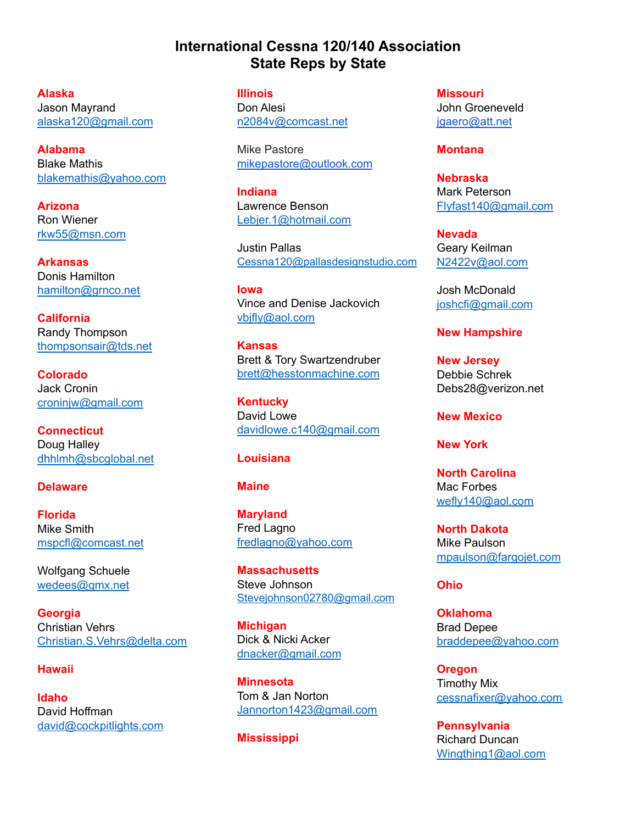# **International Cessna 120/140 Association State Reps by State**

**Alaska** Jason Mayrand [alaska120@gmail.com](mailto:alaska120@gmail.com)

**Alabama** Blake Mathis [blakemathis@yahoo.com](mailto:blakemathis@yahoo.com)

**Arizona** Ron Wiener [rkw55@msn.com](mailto:rkw55@msn.com)

**Arkansas** Donis Hamilton [hamilton@grnco.net](mailto:hamilton@grnco.net)

**California** Randy Thompson [thompsonsair@tds.net](mailto:thompsonsair@tds.net)

**Colorado** Jack Cronin [croninjw@gmail.com](mailto:croninjw@gmail.com)

**Connecticut** Doug Halley [dhhlmh@sbcglobal.net](mailto:dhhlmh@sbcglobal.net)

## **Delaware**

**Florida** Mike Smith [mspcfl@comcast.net](mailto:mspcfl@comcast.net)

Wolfgang Schuele [wedees@gmx.net](mailto:wedees@gmx.net)

**Georgia** Christian Vehrs [Christian.S.Vehrs@delta.com](mailto:Christian.S.Vehrs@delta.com)

# **Hawaii**

**Idaho** David Hoffman [david@cockpitlights.com](mailto:david@cockpitlights.com) **Illinois** Don Alesi [n2084v@comcast.net](mailto:n2084v@comcast.net)

Mike Pastore [mikepastore@outlook.com](mailto:mikepastore@outlook.com)

**Indiana** Lawrence Benson [Lebjer.1@hotmail.com](mailto:Lebjer.1@hotmail.com)

Justin Pallas [Cessna120@pallasdesignstudio.com](mailto:Cessna120@pallasdesignstudio.com)

**Iowa** Vince and Denise Jackovich [vbjfly@aol.com](mailto:vbjfly@aol.com)

**Kansas** Brett & Tory Swartzendruber [brett@hesstonmachine.com](mailto:brett@hesstonmachine.com)

**Kentucky** David Lowe [davidlowe.c140@gmail.com](mailto:davidlowe.c140@gmail.com)

#### **Louisiana**

#### **Maine**

**Maryland** Fred Lagno [fredlagno@yahoo.com](mailto:fredlagno@yahoo.com)

**Massachusetts** Steve Johnson [Stevejohnson02780@gmail.com](mailto:Stevejohnson02780@gmail.com)

**Michigan** Dick & Nicki Acker [dnacker@gmail.com](mailto:dnacker@gmail.com)

**Minnesota** Tom & Jan Norton [Jannorton1423@gmail.com](mailto:Jannorton1423@gmail.com)

**Mississippi**

**Missouri** John Groeneveld [jgaero@att.net](mailto:jgaero@att.net)

#### **Montana**

**Nebraska** Mark Peterson [Flyfast140@gmail.com](mailto:Flyfast140@gmail.com)

**Nevada** Geary Keilman [N2422v@aol.com](mailto:N2422v@aol.com)

Josh McDonald [joshcfi@gmail.com](mailto:joshcfi@gmail.com)

# **New Hampshire**

**New Jersey** Debbie Schrek Debs28@verizon.net

**New Mexico**

**New York**

**North Carolina** Mac Forbes [wefly140@aol.com](mailto:wefly140@aol.com)

**North Dakota** Mike Paulson [mpaulson@fargojet.com](mailto:mpaulson@fargojet.com)

### **Ohio**

**Oklahoma** Brad Depee [braddepee@yahoo.com](mailto:braddepee@yahoo.com)

**Oregon** Timothy Mix [cessnafixer@yahoo.com](mailto:cessnafixer@yahoo.com)

**Pennsylvania** Richard Duncan [Wingthing1@aol.com](mailto:Wingthing1@aol.com)